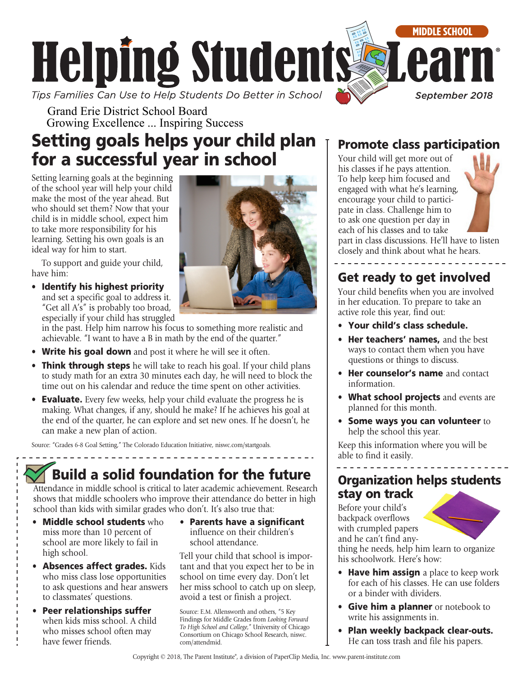

Grand Erie District School Board Growing Excellence ... Inspiring Success

# Setting goals helps your child plan for a successful year in school

Setting learning goals at the beginning of the school year will help your child make the most of the year ahead. But who should set them? Now that your child is in middle school, expect him to take more responsibility for his learning. Setting his own goals is an ideal way for him to start.

To support and guide your child, have him:

• Identify his highest priority and set a specific goal to address it. "Get all A's" is probably too broad, especially if your child has struggled

in the past. Help him narrow his focus to something more realistic and achievable. "I want to have a B in math by the end of the quarter."

- Write his goal down and post it where he will see it often.
- Think through steps he will take to reach his goal. If your child plans to study math for an extra 30 minutes each day, he will need to block the time out on his calendar and reduce the time spent on other activities.
- Evaluate. Every few weeks, help your child evaluate the progress he is making. What changes, if any, should he make? If he achieves his goal at the end of the quarter, he can explore and set new ones. If he doesn't, he can make a new plan of action.

Source: "Grades 6-8 Goal Setting," The Colorado Education Initiative, [niswc.com/startgoals.](http://niswc.com/startgoals)

# Build a solid foundation for the future

Attendance in middle school is critical to later academic achievement. Research shows that middle schoolers who improve their attendance do better in high school than kids with similar grades who don't. It's also true that:

- Middle school students who miss more than 10 percent of school are more likely to fail in high school.
- Absences affect grades. Kids who miss class lose opportunities to ask questions and hear answers to classmates' questions.
- Peer relationships suffer when kids miss school. A child who misses school often may have fewer friends.
- Parents have a significant influence on their children's school attendance.

Tell your child that school is important and that you expect her to be in school on time every day. Don't let her miss school to catch up on sleep, avoid a test or finish a project.

Source: E.M. Allensworth and others, "5 Key Findings for Middle Grades from *Looking Forward To High School and College*," University of Chicago Consortium on Chicago School Research, [niswc.](http://niswc.com/attendmid) [com/attendmid](http://niswc.com/attendmid).

## Promote class participation

Your child will get more out of his classes if he pays attention. To help keep him focused and engaged with what he's learning, encourage your child to participate in class. Challenge him to to ask one question per day in each of his classes and to take part in class discussions. He'll have to listen closely and think about what he hears.

# Get ready to get involved

Your child benefits when you are involved in her education. To prepare to take an active role this year, find out:

- Your child's class schedule.
- Her teachers' names, and the best ways to contact them when you have questions or things to discuss.
- Her counselor's name and contact information.
- What school projects and events are planned for this month.
- Some ways you can volunteer to help the school this year.

Keep this information where you will be able to find it easily.

### Organization helps students stay on track

Before your child's backpack overflows with crumpled papers and he can't find any-



thing he needs, help him learn to organize his schoolwork. Here's how:

- Have him assign a place to keep work for each of his classes. He can use folders or a binder with dividers.
- Give him a planner or notebook to write his assignments in.
- Plan weekly backpack clear-outs. He can toss trash and file his papers.